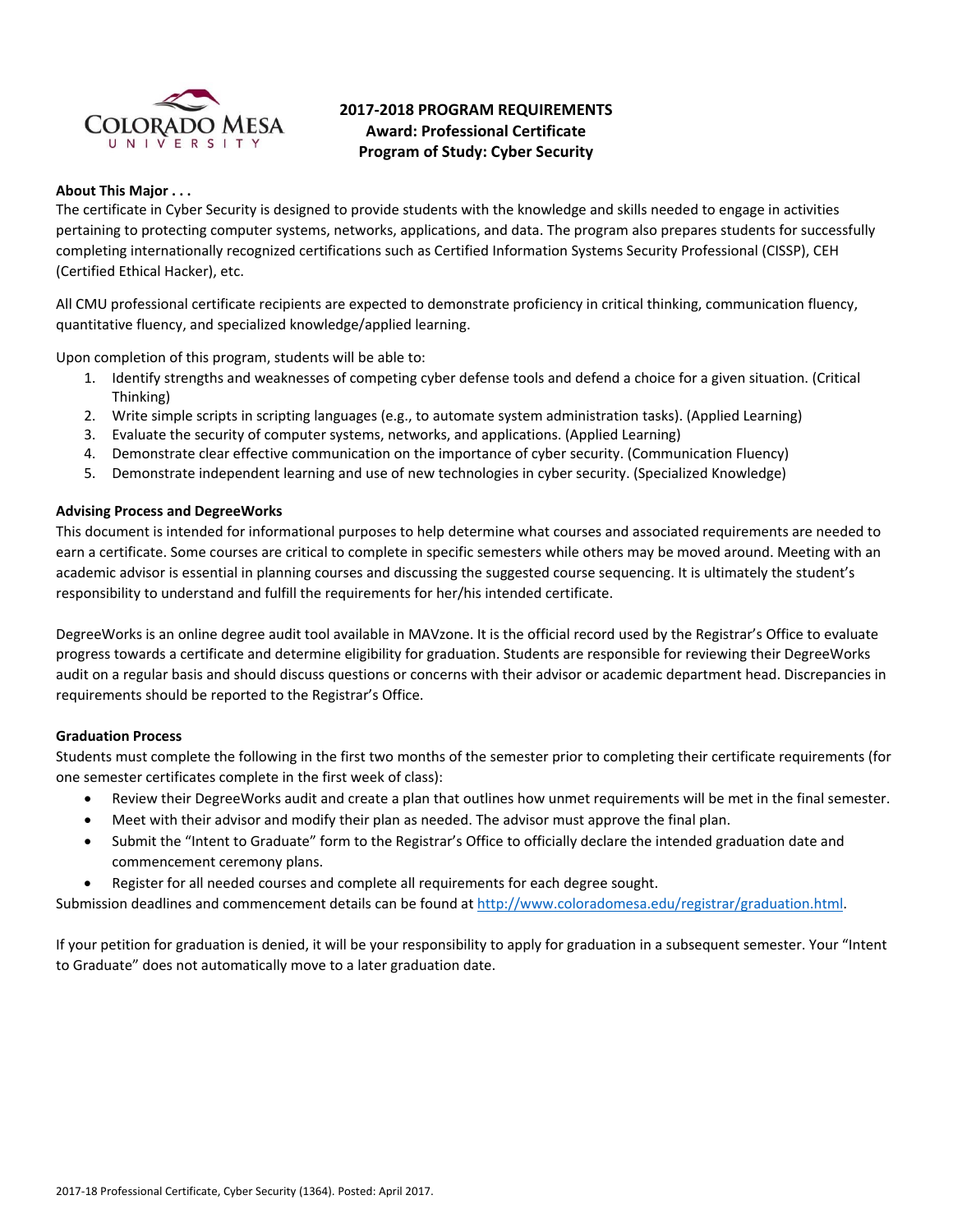

# **2017‐2018 PROGRAM REQUIREMENTS Award: Professional Certificate Program of Study: Cyber Security**

# **About This Major . . .**

The certificate in Cyber Security is designed to provide students with the knowledge and skills needed to engage in activities pertaining to protecting computer systems, networks, applications, and data. The program also prepares students for successfully completing internationally recognized certifications such as Certified Information Systems Security Professional (CISSP), CEH (Certified Ethical Hacker), etc.

All CMU professional certificate recipients are expected to demonstrate proficiency in critical thinking, communication fluency, quantitative fluency, and specialized knowledge/applied learning.

Upon completion of this program, students will be able to:

- 1. Identify strengths and weaknesses of competing cyber defense tools and defend a choice for a given situation. (Critical Thinking)
- 2. Write simple scripts in scripting languages (e.g., to automate system administration tasks). (Applied Learning)
- 3. Evaluate the security of computer systems, networks, and applications. (Applied Learning)
- 4. Demonstrate clear effective communication on the importance of cyber security. (Communication Fluency)
- 5. Demonstrate independent learning and use of new technologies in cyber security. (Specialized Knowledge)

## **Advising Process and DegreeWorks**

This document is intended for informational purposes to help determine what courses and associated requirements are needed to earn a certificate. Some courses are critical to complete in specific semesters while others may be moved around. Meeting with an academic advisor is essential in planning courses and discussing the suggested course sequencing. It is ultimately the student's responsibility to understand and fulfill the requirements for her/his intended certificate.

DegreeWorks is an online degree audit tool available in MAVzone. It is the official record used by the Registrar's Office to evaluate progress towards a certificate and determine eligibility for graduation. Students are responsible for reviewing their DegreeWorks audit on a regular basis and should discuss questions or concerns with their advisor or academic department head. Discrepancies in requirements should be reported to the Registrar's Office.

## **Graduation Process**

Students must complete the following in the first two months of the semester prior to completing their certificate requirements (for one semester certificates complete in the first week of class):

- Review their DegreeWorks audit and create a plan that outlines how unmet requirements will be met in the final semester.
- Meet with their advisor and modify their plan as needed. The advisor must approve the final plan.
- Submit the "Intent to Graduate" form to the Registrar's Office to officially declare the intended graduation date and commencement ceremony plans.
- Register for all needed courses and complete all requirements for each degree sought.

Submission deadlines and commencement details can be found at http://www.coloradomesa.edu/registrar/graduation.html.

If your petition for graduation is denied, it will be your responsibility to apply for graduation in a subsequent semester. Your "Intent to Graduate" does not automatically move to a later graduation date.